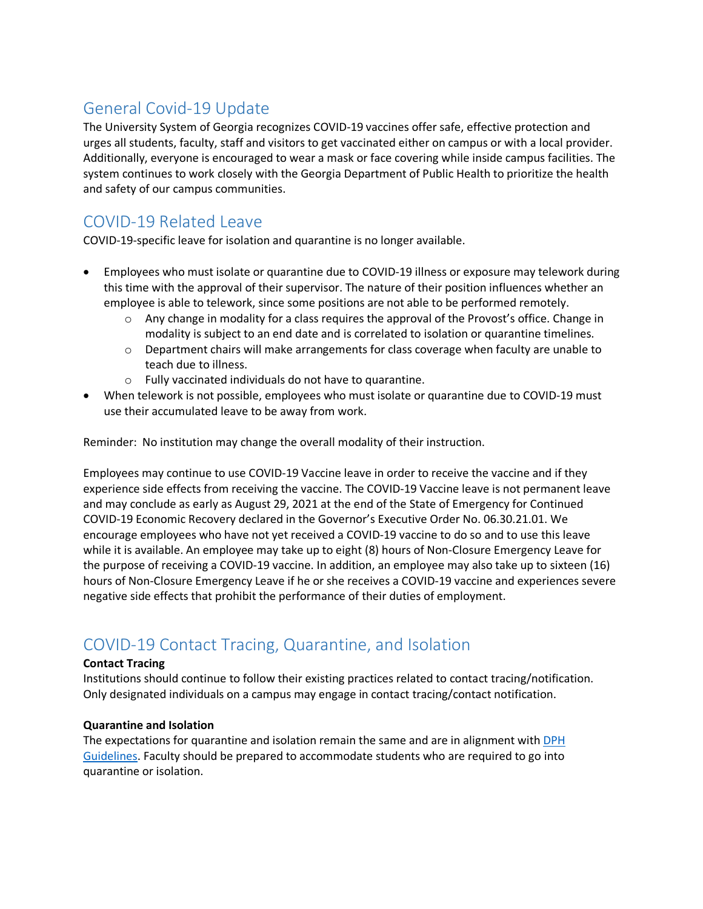# General Covid-19 Update

The University System of Georgia recognizes COVID-19 vaccines offer safe, effective protection and urges all students, faculty, staff and visitors to get vaccinated either on campus or with a local provider. Additionally, everyone is encouraged to wear a mask or face covering while inside campus facilities. The system continues to work closely with the Georgia Department of Public Health to prioritize the health and safety of our campus communities.

## COVID-19 Related Leave

COVID-19-specific leave for isolation and quarantine is no longer available.

- Employees who must isolate or quarantine due to COVID-19 illness or exposure may telework during this time with the approval of their supervisor. The nature of their position influences whether an employee is able to telework, since some positions are not able to be performed remotely.
	- o Any change in modality for a class requires the approval of the Provost's office. Change in modality is subject to an end date and is correlated to isolation or quarantine timelines.
	- $\circ$  Department chairs will make arrangements for class coverage when faculty are unable to teach due to illness.
	- o Fully vaccinated individuals do not have to quarantine.
- When telework is not possible, employees who must isolate or quarantine due to COVID-19 must use their accumulated leave to be away from work.

Reminder: No institution may change the overall modality of their instruction.

Employees may continue to use COVID-19 Vaccine leave in order to receive the vaccine and if they experience side effects from receiving the vaccine. The COVID-19 Vaccine leave is not permanent leave and may conclude as early as August 29, 2021 at the end of the State of Emergency for Continued COVID-19 Economic Recovery declared in the Governor's Executive Order No. 06.30.21.01. We encourage employees who have not yet received a COVID-19 vaccine to do so and to use this leave while it is available. An employee may take up to eight (8) hours of Non-Closure Emergency Leave for the purpose of receiving a COVID-19 vaccine. In addition, an employee may also take up to sixteen (16) hours of Non-Closure Emergency Leave if he or she receives a COVID-19 vaccine and experiences severe negative side effects that prohibit the performance of their duties of employment.

## COVID-19 Contact Tracing, Quarantine, and Isolation

#### **Contact Tracing**

Institutions should continue to follow their existing practices related to contact tracing/notification. Only designated individuals on a campus may engage in contact tracing/contact notification.

#### **Quarantine and Isolation**

The expectations for quarantine and isolation remain the same and are in alignment with DPH Guidelines. Faculty should be prepared to accommodate students who are required to go into quarantine or isolation.